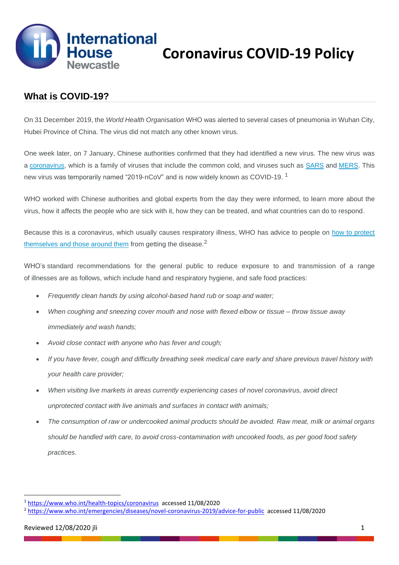

## **What is COVID-19?**

On 31 December 2019, the *World Health Organisation* WHO was alerted to several cases of pneumonia in Wuhan City, Hubei Province of China. The virus did not match any other known virus.

One week later, on 7 January, Chinese authorities confirmed that they had identified a new virus. The new virus was a [coronavirus,](https://www.who.int/health-topics/coronavirus) which is a family of viruses that include the common cold, and viruses such as [SARS](https://www.who.int/csr/sars/en/) and [MERS.](https://www.who.int/emergencies/mers-cov/en/) This new virus was temporarily named "2019-nCoV" and is now widely known as COVID-19.<sup>1</sup>

WHO worked with Chinese authorities and global experts from the day they were informed, to learn more about the virus, how it affects the people who are sick with it, how they can be treated, and what countries can do to respond.

Because this is a coronavirus, which usually causes respiratory illness, WHO has advice to people on [how to protect](https://www.who.int/emergencies/diseases/novel-coronavirus-2019/advice-for-public)  [themselves and those around them](https://www.who.int/emergencies/diseases/novel-coronavirus-2019/advice-for-public) from getting the disease.<sup>2</sup>

WHO's standard recommendations for the general public to reduce exposure to and transmission of a range of illnesses are as follows, which include hand and respiratory hygiene, and safe food practices:

- *Frequently clean hands by using alcohol-based hand rub or soap and water;*
- *When coughing and sneezing cover mouth and nose with flexed elbow or tissue – throw tissue away immediately and wash hands;*
- *Avoid close contact with anyone who has fever and cough;*
- *If you have fever, cough and difficulty breathing seek medical care early and share previous travel history with your health care provider;*
- *When visiting live markets in areas currently experiencing cases of novel coronavirus, avoid direct unprotected contact with live animals and surfaces in contact with animals;*
- *The consumption of raw or undercooked animal products should be avoided. Raw meat, milk or animal organs should be handled with care, to avoid cross-contamination with uncooked foods, as per good food safety practices.*

<sup>1</sup> <https://www.who.int/health-topics/coronavirus>accessed 11/08/2020

<sup>2</sup> <https://www.who.int/emergencies/diseases/novel-coronavirus-2019/advice-for-public>accessed 11/08/2020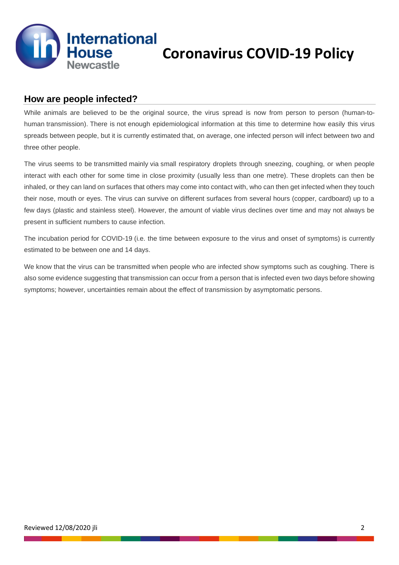

## **How are people infected?**

While animals are believed to be the original source, the virus spread is now from person to person (human-tohuman transmission). There is not enough epidemiological information at this time to determine how easily this virus spreads between people, but it is currently estimated that, on average, one infected person will infect between two and three other people.

The virus seems to be transmitted mainly via small respiratory droplets through sneezing, coughing, or when people interact with each other for some time in close proximity (usually less than one metre). These droplets can then be inhaled, or they can land on surfaces that others may come into contact with, who can then get infected when they touch their nose, mouth or eyes. The virus can survive on different surfaces from several hours (copper, cardboard) up to a few days (plastic and stainless steel). However, the amount of viable virus declines over time and may not always be present in sufficient numbers to cause infection.

The incubation period for COVID-19 (i.e. the time between exposure to the virus and onset of symptoms) is currently estimated to be between one and 14 days.

We know that the virus can be transmitted when people who are infected show symptoms such as coughing. There is also some evidence suggesting that transmission can occur from a person that is infected even two days before showing symptoms; however, uncertainties remain about the effect of transmission by asymptomatic persons.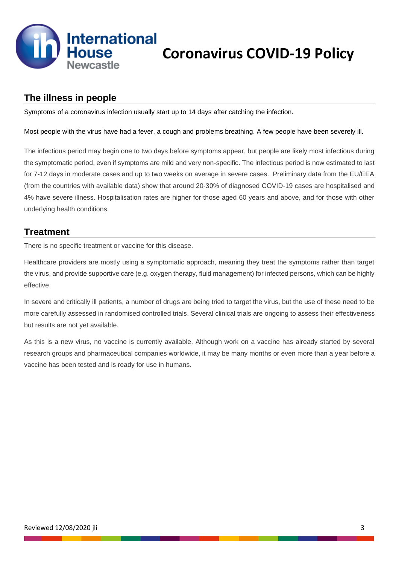

## **The illness in people**

Symptoms of a coronavirus infection usually start up to 14 days after catching the infection.

#### Most people with the virus have had a fever, a cough and problems breathing. A few people have been severely ill.

The infectious period may begin one to two days before symptoms appear, but people are likely most infectious during the symptomatic period, even if symptoms are mild and very non-specific. The infectious period is now estimated to last for 7-12 days in moderate cases and up to two weeks on average in severe cases. Preliminary data from the EU/EEA (from the countries with available data) show that around 20-30% of diagnosed COVID-19 cases are hospitalised and 4% have severe illness. Hospitalisation rates are higher for those aged 60 years and above, and for those with other underlying health conditions.

## **Treatment**

There is no specific treatment or vaccine for this disease.

Healthcare providers are mostly using a symptomatic approach, meaning they treat the symptoms rather than target the virus, and provide supportive care (e.g. oxygen therapy, fluid management) for infected persons, which can be highly effective.

In severe and critically ill patients, a number of drugs are being tried to target the virus, but the use of these need to be more carefully assessed in randomised controlled trials. Several clinical trials are ongoing to assess their effectiveness but results are not yet available.

As this is a new virus, no vaccine is currently available. Although work on a vaccine has already started by several research groups and pharmaceutical companies worldwide, it may be many months or even more than a year before a vaccine has been tested and is ready for use in humans.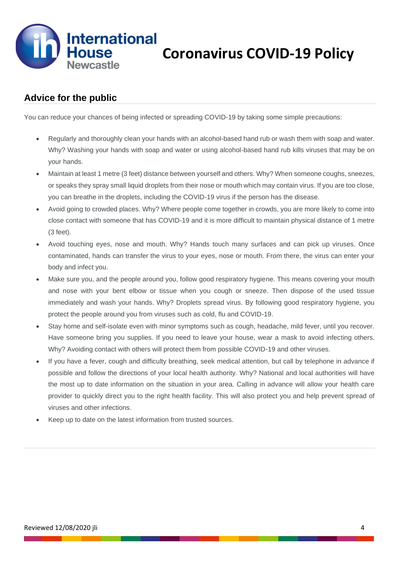

# **Advice for the public**

You can reduce your chances of being infected or spreading COVID-19 by taking some simple precautions:

- Regularly and thoroughly clean your hands with an alcohol-based hand rub or wash them with soap and water. Why? Washing your hands with soap and water or using alcohol-based hand rub kills viruses that may be on your hands.
- Maintain at least 1 metre (3 feet) distance between yourself and others. Why? When someone coughs, sneezes, or speaks they spray small liquid droplets from their nose or mouth which may contain virus. If you are too close, you can breathe in the droplets, including the COVID-19 virus if the person has the disease.
- Avoid going to crowded places. Why? Where people come together in crowds, you are more likely to come into close contact with someone that has COVID-19 and it is more difficult to maintain physical distance of 1 metre (3 feet).
- Avoid touching eyes, nose and mouth. Why? Hands touch many surfaces and can pick up viruses. Once contaminated, hands can transfer the virus to your eyes, nose or mouth. From there, the virus can enter your body and infect you.
- Make sure you, and the people around you, follow good respiratory hygiene. This means covering your mouth and nose with your bent elbow or tissue when you cough or sneeze. Then dispose of the used tissue immediately and wash your hands. Why? Droplets spread virus. By following good respiratory hygiene, you protect the people around you from viruses such as cold, flu and COVID-19.
- Stay home and self-isolate even with minor symptoms such as cough, headache, mild fever, until you recover. Have someone bring you supplies. If you need to leave your house, wear a mask to avoid infecting others. Why? Avoiding contact with others will protect them from possible COVID-19 and other viruses.
- If you have a fever, cough and difficulty breathing, seek medical attention, but call by telephone in advance if possible and follow the directions of your local health authority. Why? National and local authorities will have the most up to date information on the situation in your area. Calling in advance will allow your health care provider to quickly direct you to the right health facility. This will also protect you and help prevent spread of viruses and other infections.
- Keep up to date on the latest information from trusted sources.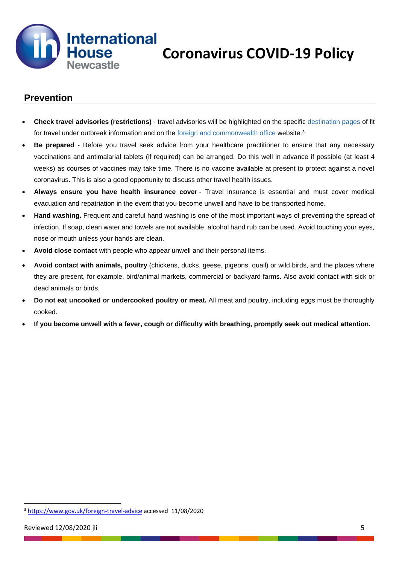

## **Prevention**

- **Check travel advisories (restrictions)** travel advisories will be highlighted on the specific [destination](https://www.fitfortravel.nhs.uk/destinations) pages of fit for travel under outbreak information and on the foreign and [commonwealth](https://www.gov.uk/foreign-travel-advice) office website.<sup>3</sup>
- **Be prepared** Before you travel seek advice from your healthcare practitioner to ensure that any necessary vaccinations and antimalarial tablets (if required) can be arranged. Do this well in advance if possible (at least 4 weeks) as courses of vaccines may take time. There is no vaccine available at present to protect against a novel coronavirus. This is also a good opportunity to discuss other travel health issues.
- **Always ensure you have health insurance cover** Travel insurance is essential and must cover medical evacuation and repatriation in the event that you become unwell and have to be transported home.
- **Hand washing.** Frequent and careful hand washing is one of the most important ways of preventing the spread of infection. If soap, clean water and towels are not available, alcohol hand rub can be used. Avoid touching your eyes, nose or mouth unless your hands are clean.
- **Avoid close contact** with people who appear unwell and their personal items.
- **Avoid contact with animals, poultry** (chickens, ducks, geese, pigeons, quail) or wild birds, and the places where they are present, for example, bird/animal markets, commercial or backyard farms. Also avoid contact with sick or dead animals or birds.
- **Do not eat uncooked or undercooked poultry or meat.** All meat and poultry, including eggs must be thoroughly cooked.
- If you become unwell with a fever, cough or difficulty with breathing, promptly seek out medical attention.

<sup>3</sup> <https://www.gov.uk/foreign-travel-advice> accessed 11/08/2020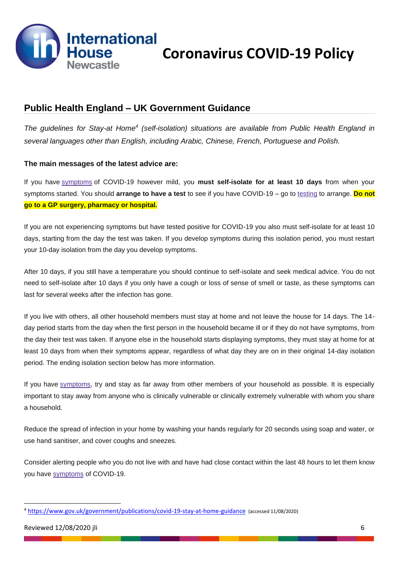

## **Public Health England – UK Government Guidance**

*The guidelines for Stay-at Home<sup>4</sup> (self-isolation) situations are available from Public Health England in several languages other than English, including Arabic, Chinese, French, Portuguese and Polish.*

#### **The main messages of the latest advice are:**

If you have [symptoms](https://www.gov.uk/government/publications/covid-19-stay-at-home-guidance/stay-at-home-guidance-for-households-with-possible-coronavirus-covid-19-infection#symptoms) of COVID-19 however mild, you **must self-isolate for at least 10 days** from when your symptoms started. You should **arrange to have a test** to see if you have COVID-19 – go to [testing](https://www.nhs.uk/conditions/coronavirus-covid-19/testing-for-coronavirus/) to arrange. **Do not go to a GP surgery, pharmacy or hospital.**

If you are not experiencing symptoms but have tested positive for COVID-19 you also must self-isolate for at least 10 days, starting from the day the test was taken. If you develop symptoms during this isolation period, you must restart your 10-day isolation from the day you develop symptoms.

After 10 days, if you still have a temperature you should continue to self-isolate and seek medical advice. You do not need to self-isolate after 10 days if you only have a cough or loss of sense of smell or taste, as these symptoms can last for several weeks after the infection has gone.

If you live with others, all other household members must stay at home and not leave the house for 14 days. The 14 day period starts from the day when the first person in the household became ill or if they do not have symptoms, from the day their test was taken. If anyone else in the household starts displaying symptoms, they must stay at home for at least 10 days from when their symptoms appear, regardless of what day they are on in their original 14-day isolation period. The ending isolation section below has more information.

If you have [symptoms,](https://www.gov.uk/government/publications/covid-19-stay-at-home-guidance/stay-at-home-guidance-for-households-with-possible-coronavirus-covid-19-infection#symptoms) try and stay as far away from other members of your household as possible. It is especially important to stay away from anyone who is clinically vulnerable or clinically extremely vulnerable with whom you share a household.

Reduce the spread of infection in your home by washing your hands regularly for 20 seconds using soap and water, or use hand sanitiser, and cover coughs and sneezes.

Consider alerting people who you do not live with and have had close contact within the last 48 hours to let them know you have [symptoms](https://www.gov.uk/government/publications/covid-19-stay-at-home-guidance/stay-at-home-guidance-for-households-with-possible-coronavirus-covid-19-infection#symptoms) of COVID-19.

<sup>4</sup> <https://www.gov.uk/government/publications/covid-19-stay-at-home-guidance> (accessed 11/08/2020)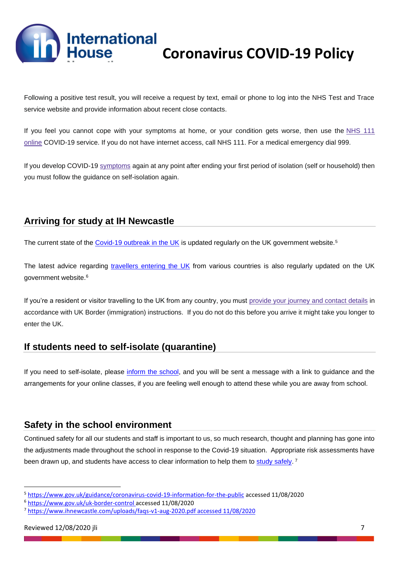**International** 

# **Coronavirus COVID-19 Policy**

Following a positive test result, you will receive a request by text, email or phone to log into the NHS Test and Trace service website and provide information about recent close contacts.

If you feel you cannot cope with your symptoms at home, or your condition gets worse, then use the [NHS](https://111.nhs.uk/) 111 [online](https://111.nhs.uk/) COVID-19 service. If you do not have internet access, call NHS 111. For a medical emergency dial 999.

If you develop COVID-19 [symptoms](https://www.gov.uk/government/publications/covid-19-stay-at-home-guidance/stay-at-home-guidance-for-households-with-possible-coronavirus-covid-19-infection#symptoms) again at any point after ending your first period of isolation (self or household) then you must follow the guidance on self-isolation again.

# **Arriving for study at IH Newcastle**

The current state of the [Covid-19 outbreak in the UK](https://www.gov.uk/guidance/coronavirus-covid-19-information-for-the-public) is updated regularly on the UK government website.<sup>5</sup>

The latest advice regarding [travellers entering the UK](https://www.gov.uk/uk-border-control) from various countries is also regularly updated on the UK government website.<sup>6</sup>

If you're a resident or visitor travelling to the UK from any country, you must [provide](https://www.gov.uk/provide-journey-contact-details-before-travel-uk) your journey and contact details in accordance with UK Border (immigration) instructions. If you do not do this before you arrive it might take you longer to enter the UK.

# **If students need to self-isolate (quarantine)**

If you need to self-isolate, please [inform the school,](mailto:info@ihnewcastle.com) and you will be sent a message with a link to guidance and the arrangements for your online classes, if you are feeling well enough to attend these while you are away from school.

## **Safety in the school environment**

Continued safety for all our students and staff is important to us, so much research, thought and planning has gone into the adjustments made throughout the school in response to the Covid-19 situation. Appropriate risk assessments have been drawn up, and students have access to clear information to help them to [study safely.](https://www.ihnewcastle.com/uploads/faqs-v1-aug-2020.pdf)<sup>7</sup>

<sup>5</sup> <https://www.gov.uk/guidance/coronavirus-covid-19-information-for-the-public> accessed 11/08/2020

<sup>6</sup> [https://www.gov.uk/uk-border-control accessed 11/08/2020](https://www.gov.uk/uk-border-control)

<sup>7</sup> [https://www.ihnewcastle.com/uploads/faqs-v1-aug-2020.pdf accessed 11/08/2020](https://www.ihnewcastle.com/uploads/faqs-v1-aug-2020.pdf%20accessed%2011/08/2020)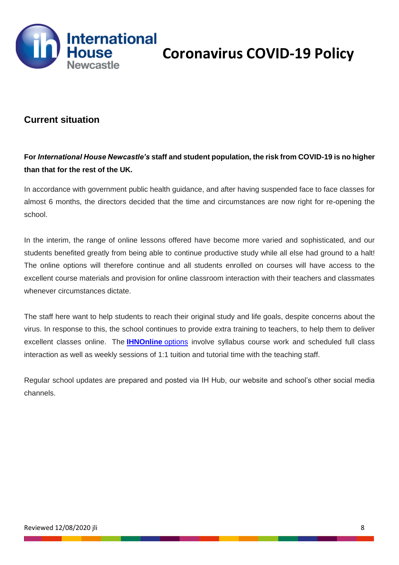

## **Current situation**

## **For** *International House Newcastle's* **staff and student population, the risk from COVID-19 is no higher than that for the rest of the UK.**

In accordance with government public health guidance, and after having suspended face to face classes for almost 6 months, the directors decided that the time and circumstances are now right for re-opening the school.

In the interim, the range of online lessons offered have become more varied and sophisticated, and our students benefited greatly from being able to continue productive study while all else had ground to a halt! The online options will therefore continue and all students enrolled on courses will have access to the excellent course materials and provision for online classroom interaction with their teachers and classmates whenever circumstances dictate.

The staff here want to help students to reach their original study and life goals, despite concerns about the virus. In response to this, the school continues to provide extra training to teachers, to help them to deliver excellent classes online. The **[IHNOnline](https://www.ihnewcastle.com/online-courses)** options involve syllabus course work and scheduled full class interaction as well as weekly sessions of 1:1 tuition and tutorial time with the teaching staff.

Regular school updates are prepared and posted via IH Hub, our website and school's other social media channels.